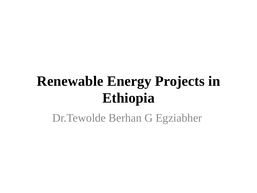#### **Renewable Energy Projects in Ethiopia**

Dr.Tewolde Berhan G Egziabher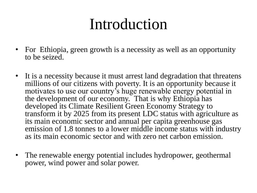### Introduction

- For Ethiopia, green growth is a necessity as well as an opportunity to be seized.
- It is a necessity because it must arrest land degradation that threatens millions of our citizens with poverty. It is an opportunity because it motivates to use our country's huge renewable energy potential in the development of our economy. That is why Ethiopia has developed its Climate Resilient Green Economy Strategy to transform it by 2025 from its present LDC status with agriculture as its main economic sector and annual per capita greenhouse gas emission of 1.8 tonnes to a lower middle income status with industry as its main economic sector and with zero net carbon emission.
- The renewable energy potential includes hydropower, geothermal power, wind power and solar power.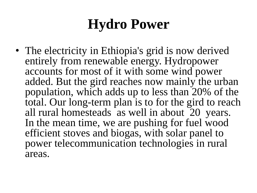#### **Hydro Power**

• The electricity in Ethiopia's grid is now derived entirely from renewable energy. Hydropower accounts for most of it with some wind power added. But the gird reaches now mainly the urban population, which adds up to less than 20% of the total. Our long-term plan is to for the gird to reach all rural homesteads as well in about 20 years. In the mean time, we are pushing for fuel wood efficient stoves and biogas, with solar panel to power telecommunication technologies in rural areas.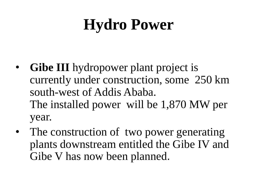# **Hydro Power**

- **Gibe III** hydropower plant project is currently under construction, some 250 km south-west of Addis Ababa. The installed power will be 1,870 MW per year.
- The construction of two power generating plants downstream entitled the Gibe IV and Gibe V has now been planned.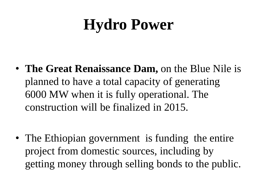## **Hydro Power**

• **The Great Renaissance Dam,** on the Blue Nile is planned to have a total capacity of generating 6000 MW when it is fully operational. The construction will be finalized in 2015.

• The Ethiopian government is funding the entire project from domestic sources, including by getting money through selling bonds to the public.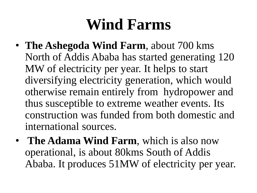## **Wind Farms**

- **The Ashegoda Wind Farm**, about 700 kms North of Addis Ababa has started generating 120 MW of electricity per year. It helps to start diversifying electricity generation, which would otherwise remain entirely from hydropower and thus susceptible to extreme weather events. Its construction was funded from both domestic and international sources.
- **The Adama Wind Farm**, which is also now operational, is about 80kms South of Addis Ababa. It produces 51MW of electricity per year.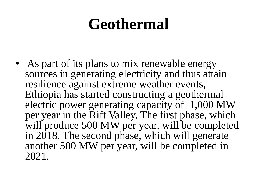### **Geothermal**

• As part of its plans to mix renewable energy sources in generating electricity and thus attain resilience against extreme weather events, Ethiopia has started constructing a geothermal electric power generating capacity of 1,000 MW per year in the Rift Valley. The first phase, which will produce 500 MW per year, will be completed in 2018. The second phase, which will generate another 500 MW per year, will be completed in 2021.